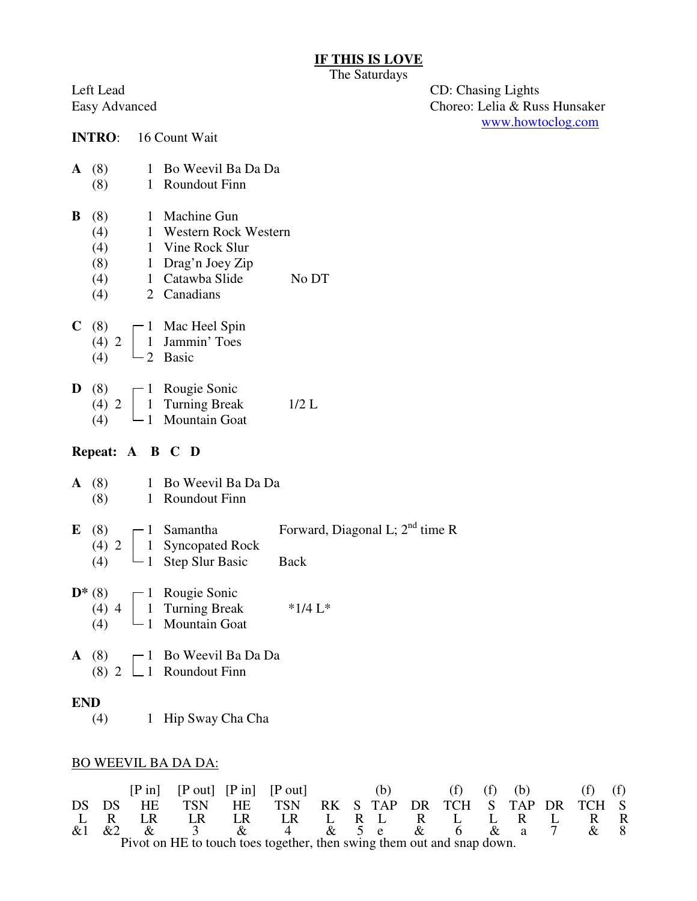## **IF THIS IS LOVE**

The Saturdays

Left Lead CD: Chasing Lights<br>Easy Advanced Choreo: Lelia & Rus Choreo: Lelia & Russ Hunsaker www.howtoclog.com

|            |                  | <b>INTRO:</b> 16 Count Wait                                                                                                                                                                   |                                   |
|------------|------------------|-----------------------------------------------------------------------------------------------------------------------------------------------------------------------------------------------|-----------------------------------|
|            |                  | A (8) 1 Bo Weevil Ba Da Da<br>(8) 1 Roundout Finn                                                                                                                                             |                                   |
|            |                  | <b>B</b> (8) 1 Machine Gun<br>(4) 1 Western Rock Western<br>(4) 1 Vine Rock Slur<br>(8) 1 Drag'n Joey Zip<br>(4) $1$ Catawba Slide No DT<br>(4) $2$ Canadians                                 |                                   |
|            |                  | C (8) $\begin{bmatrix} 1 \\ 4 \end{bmatrix}$ Mac Heel Spin<br>(4) 2 $\begin{bmatrix} 1 \\ 1 \\ 2 \end{bmatrix}$ Jammin' Toes<br>(4)                                                           |                                   |
|            |                  | <b>D</b> (8)<br>(4) 2 $\begin{bmatrix} 1 & \text{Rougie Sonic} \\ 1 & \text{Turning Break} \\ 1 & \text{Mountain Goat} \end{bmatrix}$<br>1/2 L<br>(4)                                         |                                   |
|            |                  | Repeat: A B C D                                                                                                                                                                               |                                   |
|            |                  | A (8) 1 Bo Weevil Ba Da Da<br>$(8)$ 1 Roundout Finn                                                                                                                                           |                                   |
|            |                  | <b>E</b> (8) $\begin{bmatrix} 1 & \text{Samantha} \\ 4 & 2 \end{bmatrix}$ $\begin{bmatrix} 1 & \text{Symapata} \\ 1 & \text{Superbaal Rock} \\ 1 & \text{Step Slur Basic} \end{bmatrix}$ Back | Forward, Diagonal L; $2nd$ time R |
|            |                  | <b>D</b> * (8)<br>(4) 4 $\begin{bmatrix} 1 & \text{Rougie Sonic} \\ 1 & \text{Turning Break} \\ 1 & \text{Mountain Goat} \end{bmatrix}$ *1/4 L*                                               |                                   |
|            | $\mathbf{A}$ (8) | (8) $\begin{bmatrix} 1 & \text{Bo Weevil Ba Da Da} \\ 1 & \text{Roundout Finn} \end{bmatrix}$                                                                                                 |                                   |
| <b>END</b> | (4)              | 1 Hip Sway Cha Cha                                                                                                                                                                            |                                   |

## BO WEEVIL BA DA DA:

|                                                                        |       |           |            |                 | $[P \text{ in}]$ $[P \text{ out}]$ $[P \text{ in}]$ $[P \text{ out}]$ |  |  | (b)   |     | $(f)$ $(f)$                    |  | (b) | (f)           | (1) |
|------------------------------------------------------------------------|-------|-----------|------------|-----------------|-----------------------------------------------------------------------|--|--|-------|-----|--------------------------------|--|-----|---------------|-----|
|                                                                        | DS DS | <b>HE</b> | <b>TSN</b> | HE .            | <b>TSN</b>                                                            |  |  |       |     | RK S TAP DR TCH S TAP DR TCH S |  |     |               |     |
|                                                                        |       | LR.       | LR         | LR              | LR                                                                    |  |  | L R L | R — | $\mathbf{L}$                   |  | L R | R             |     |
| &1                                                                     | $\&2$ |           |            | $\mathcal{R}^+$ |                                                                       |  |  |       |     | 4 & 5 e & 6 & a                |  |     | $\mathcal{R}$ |     |
| Pivot on HE to touch toes together, then swing them out and snap down. |       |           |            |                 |                                                                       |  |  |       |     |                                |  |     |               |     |